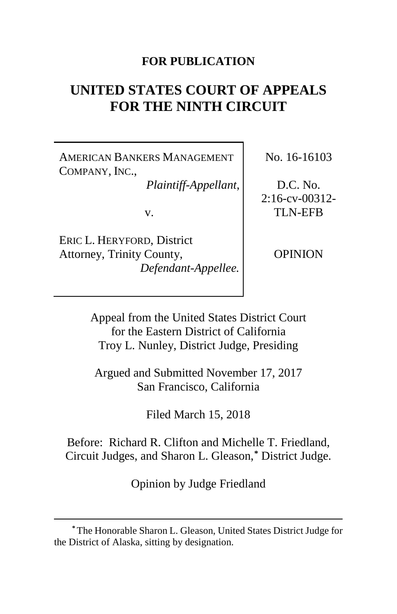## **FOR PUBLICATION**

# **UNITED STATES COURT OF APPEALS FOR THE NINTH CIRCUIT**

AMERICAN BANKERS MANAGEMENT COMPANY, INC.,

*Plaintiff-Appellant*,

v.

ERIC L. HERYFORD, District Attorney, Trinity County, *Defendant-Appellee.*

 $\overline{a}$ 

No. 16-16103

D.C. No.  $2:16$ -cv-00312-TLN-EFB

OPINION

Appeal from the United States District Court for the Eastern District of California Troy L. Nunley, District Judge, Presiding

Argued and Submitted November 17, 2017 San Francisco, California

Filed March 15, 2018

Before: Richard R. Clifton and Michelle T. Friedland, Circuit Judges, and Sharon L. Gleason,**[\\*](#page-0-0)** District Judge.

Opinion by Judge Friedland

<span id="page-0-0"></span>**<sup>\*</sup>**The Honorable Sharon L. Gleason, United States District Judge for the District of Alaska, sitting by designation.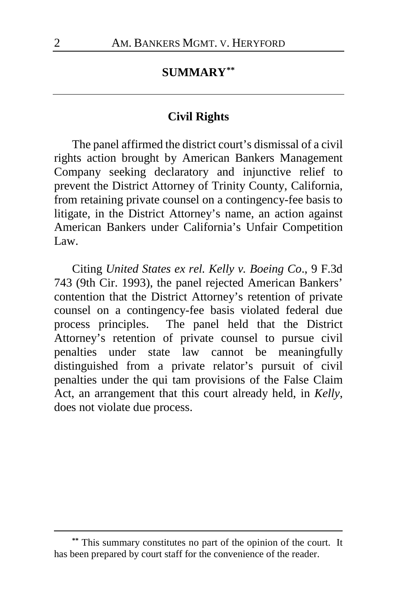## **SUMMARY[\\*\\*](#page-1-0)**

#### **Civil Rights**

The panel affirmed the district court's dismissal of a civil rights action brought by American Bankers Management Company seeking declaratory and injunctive relief to prevent the District Attorney of Trinity County, California, from retaining private counsel on a contingency-fee basis to litigate, in the District Attorney's name, an action against American Bankers under California's Unfair Competition Law.

Citing *United States ex rel. Kelly v. Boeing Co*., 9 F.3d 743 (9th Cir. 1993), the panel rejected American Bankers' contention that the District Attorney's retention of private counsel on a contingency-fee basis violated federal due process principles. The panel held that the District Attorney's retention of private counsel to pursue civil penalties under state law cannot be meaningfully distinguished from a private relator's pursuit of civil penalties under the qui tam provisions of the False Claim Act, an arrangement that this court already held, in *Kelly*, does not violate due process.

<span id="page-1-0"></span>**<sup>\*\*</sup>** This summary constitutes no part of the opinion of the court. It has been prepared by court staff for the convenience of the reader.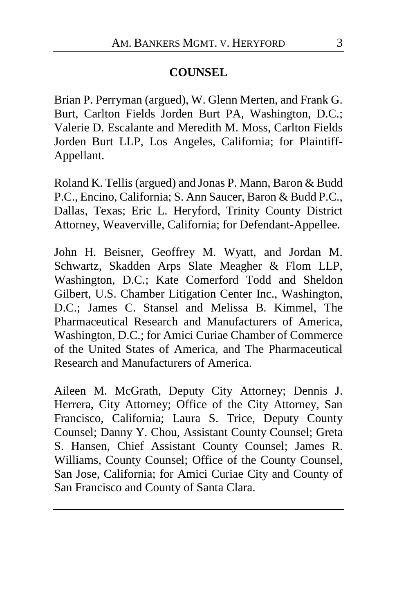## **COUNSEL**

Brian P. Perryman (argued), W. Glenn Merten, and Frank G. Burt, Carlton Fields Jorden Burt PA, Washington, D.C.; Valerie D. Escalante and Meredith M. Moss, Carlton Fields Jorden Burt LLP, Los Angeles, California; for Plaintiff-Appellant.

Roland K. Tellis (argued) and Jonas P. Mann, Baron & Budd P.C., Encino, California; S. Ann Saucer, Baron & Budd P.C., Dallas, Texas; Eric L. Heryford, Trinity County District Attorney, Weaverville, California; for Defendant-Appellee.

John H. Beisner, Geoffrey M. Wyatt, and Jordan M. Schwartz, Skadden Arps Slate Meagher & Flom LLP, Washington, D.C.; Kate Comerford Todd and Sheldon Gilbert, U.S. Chamber Litigation Center Inc., Washington, D.C.; James C. Stansel and Melissa B. Kimmel, The Pharmaceutical Research and Manufacturers of America, Washington, D.C.; for Amici Curiae Chamber of Commerce of the United States of America, and The Pharmaceutical Research and Manufacturers of America.

Aileen M. McGrath, Deputy City Attorney; Dennis J. Herrera, City Attorney; Office of the City Attorney, San Francisco, California; Laura S. Trice, Deputy County Counsel; Danny Y. Chou, Assistant County Counsel; Greta S. Hansen, Chief Assistant County Counsel; James R. Williams, County Counsel; Office of the County Counsel, San Jose, California; for Amici Curiae City and County of San Francisco and County of Santa Clara.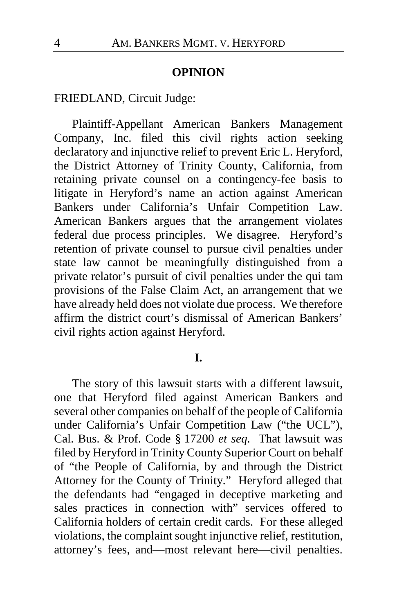#### **OPINION**

FRIEDLAND, Circuit Judge:

Plaintiff-Appellant American Bankers Management Company, Inc. filed this civil rights action seeking declaratory and injunctive relief to prevent Eric L. Heryford, the District Attorney of Trinity County, California, from retaining private counsel on a contingency-fee basis to litigate in Heryford's name an action against American Bankers under California's Unfair Competition Law. American Bankers argues that the arrangement violates federal due process principles. We disagree. Heryford's retention of private counsel to pursue civil penalties under state law cannot be meaningfully distinguished from a private relator's pursuit of civil penalties under the qui tam provisions of the False Claim Act, an arrangement that we have already held does not violate due process. We therefore affirm the district court's dismissal of American Bankers' civil rights action against Heryford.

**I.**

The story of this lawsuit starts with a different lawsuit, one that Heryford filed against American Bankers and several other companies on behalf of the people of California under California's Unfair Competition Law ("the UCL"), Cal. Bus. & Prof. Code § 17200 *et seq*. That lawsuit was filed by Heryford in Trinity County Superior Court on behalf of "the People of California, by and through the District Attorney for the County of Trinity." Heryford alleged that the defendants had "engaged in deceptive marketing and sales practices in connection with" services offered to California holders of certain credit cards.For these alleged violations, the complaint sought injunctive relief, restitution, attorney's fees, and—most relevant here—civil penalties.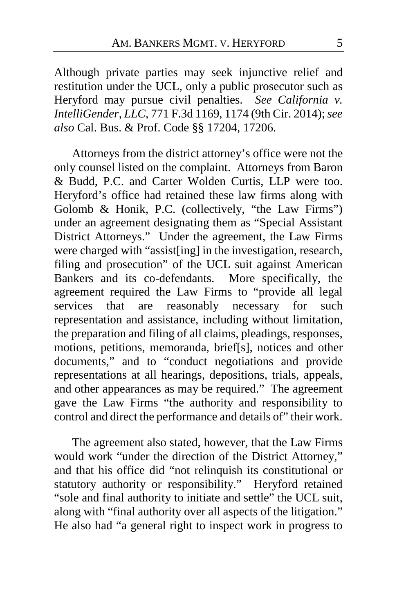Although private parties may seek injunctive relief and restitution under the UCL, only a public prosecutor such as Heryford may pursue civil penalties. *See California v. IntelliGender, LLC*, 771 F.3d 1169, 1174 (9th Cir. 2014); *see also* Cal. Bus. & Prof. Code §§ 17204, 17206.

Attorneys from the district attorney's office were not the only counsel listed on the complaint. Attorneys from Baron & Budd, P.C. and Carter Wolden Curtis, LLP were too. Heryford's office had retained these law firms along with Golomb & Honik, P.C. (collectively, "the Law Firms") under an agreement designating them as "Special Assistant District Attorneys." Under the agreement, the Law Firms were charged with "assist[ing] in the investigation, research, filing and prosecution" of the UCL suit against American Bankers and its co-defendants. More specifically, the agreement required the Law Firms to "provide all legal services that are reasonably necessary for such representation and assistance, including without limitation, the preparation and filing of all claims, pleadings, responses, motions, petitions, memoranda, brief[s], notices and other documents," and to "conduct negotiations and provide representations at all hearings, depositions, trials, appeals, and other appearances as may be required." The agreement gave the Law Firms "the authority and responsibility to control and direct the performance and details of" their work.

The agreement also stated, however, that the Law Firms would work "under the direction of the District Attorney," and that his office did "not relinquish its constitutional or statutory authority or responsibility." Heryford retained "sole and final authority to initiate and settle" the UCL suit, along with "final authority over all aspects of the litigation." He also had "a general right to inspect work in progress to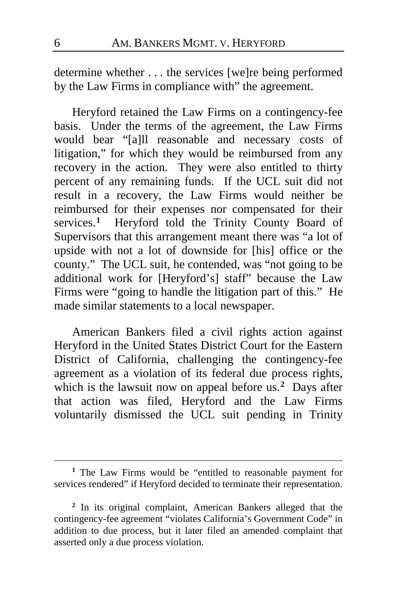determine whether . . . the services [we]re being performed by the Law Firms in compliance with" the agreement.

Heryford retained the Law Firms on a contingency-fee basis. Under the terms of the agreement, the Law Firms would bear "[a]ll reasonable and necessary costs of litigation," for which they would be reimbursed from any recovery in the action. They were also entitled to thirty percent of any remaining funds. If the UCL suit did not result in a recovery, the Law Firms would neither be reimbursed for their expenses nor compensated for their services.<sup>[1](#page-5-0)</sup> Heryford told the Trinity County Board of Supervisors that this arrangement meant there was "a lot of upside with not a lot of downside for [his] office or the county." The UCL suit, he contended, was "not going to be additional work for [Heryford's] staff" because the Law Firms were "going to handle the litigation part of this." He made similar statements to a local newspaper.

American Bankers filed a civil rights action against Heryford in the United States District Court for the Eastern District of California, challenging the contingency-fee agreement as a violation of its federal due process rights, which is the lawsuit now on appeal before us.<sup>[2](#page-5-1)</sup> Days after that action was filed, Heryford and the Law Firms voluntarily dismissed the UCL suit pending in Trinity

<span id="page-5-0"></span>**<sup>1</sup>** The Law Firms would be "entitled to reasonable payment for services rendered" if Heryford decided to terminate their representation.

<span id="page-5-1"></span>**<sup>2</sup>** In its original complaint, American Bankers alleged that the contingency-fee agreement "violates California's Government Code" in addition to due process, but it later filed an amended complaint that asserted only a due process violation.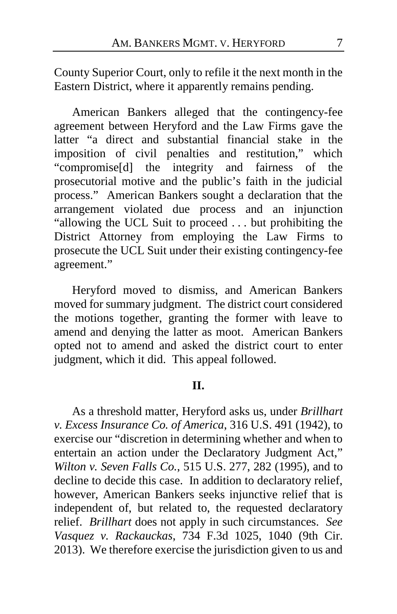County Superior Court, only to refile it the next month in the Eastern District, where it apparently remains pending.

American Bankers alleged that the contingency-fee agreement between Heryford and the Law Firms gave the latter "a direct and substantial financial stake in the imposition of civil penalties and restitution," which "compromise[d] the integrity and fairness of the prosecutorial motive and the public's faith in the judicial process." American Bankers sought a declaration that the arrangement violated due process and an injunction "allowing the UCL Suit to proceed . . . but prohibiting the District Attorney from employing the Law Firms to prosecute the UCL Suit under their existing contingency-fee agreement."

Heryford moved to dismiss, and American Bankers moved for summary judgment. The district court considered the motions together, granting the former with leave to amend and denying the latter as moot. American Bankers opted not to amend and asked the district court to enter judgment, which it did. This appeal followed.

#### **II.**

As a threshold matter, Heryford asks us, under *Brillhart v. Excess Insurance Co. of America*, 316 U.S. 491 (1942), to exercise our "discretion in determining whether and when to entertain an action under the Declaratory Judgment Act," *Wilton v. Seven Falls Co.*, 515 U.S. 277, 282 (1995), and to decline to decide this case. In addition to declaratory relief, however, American Bankers seeks injunctive relief that is independent of, but related to, the requested declaratory relief. *Brillhart* does not apply in such circumstances. *See Vasquez v. Rackauckas*, 734 F.3d 1025, 1040 (9th Cir. 2013).We therefore exercise the jurisdiction given to us and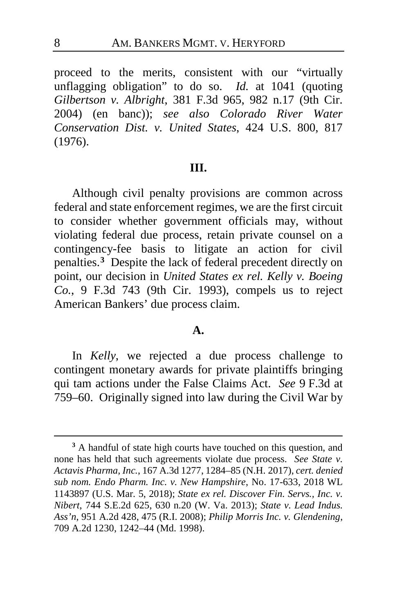proceed to the merits, consistent with our "virtually unflagging obligation" to do so. *Id.* at 1041 (quoting *Gilbertson v. Albright*, 381 F.3d 965, 982 n.17 (9th Cir. 2004) (en banc)); *see also Colorado River Water Conservation Dist. v. United States*, 424 U.S. 800, 817 (1976).

#### **III.**

Although civil penalty provisions are common across federal and state enforcement regimes, we are the first circuit to consider whether government officials may, without violating federal due process, retain private counsel on a contingency-fee basis to litigate an action for civil penalties.**[3](#page-7-0)** Despite the lack of federal precedent directly on point, our decision in *United States ex rel. Kelly v. Boeing Co.*, 9 F.3d 743 (9th Cir. 1993), compels us to reject American Bankers' due process claim.

#### **A.**

In *Kelly*, we rejected a due process challenge to contingent monetary awards for private plaintiffs bringing qui tam actions under the False Claims Act. *See* 9 F.3d at 759–60. Originally signed into law during the Civil War by

<span id="page-7-0"></span>**<sup>3</sup>** A handful of state high courts have touched on this question, and none has held that such agreements violate due process. *See State v. Actavis Pharma, Inc.*, 167 A.3d 1277, 1284–85 (N.H. 2017), *cert. denied sub nom. Endo Pharm. Inc. v. New Hampshire*, No. 17-633, 2018 WL 1143897 (U.S. Mar. 5, 2018); *State ex rel. Discover Fin. Servs., Inc. v. Nibert*, 744 S.E.2d 625, 630 n.20 (W. Va. 2013); *State v. Lead Indus. Ass'n*, 951 A.2d 428, 475 (R.I. 2008); *Philip Morris Inc. v. Glendening*, 709 A.2d 1230, 1242–44 (Md. 1998).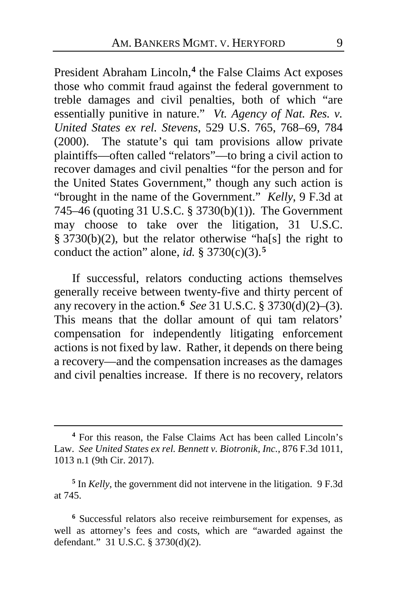President Abraham Lincoln,**[4](#page-8-0)** the False Claims Act exposes those who commit fraud against the federal government to treble damages and civil penalties, both of which "are essentially punitive in nature." *Vt. Agency of Nat. Res. v. United States ex rel. Stevens*, 529 U.S. 765, 768–69, 784 (2000). The statute's qui tam provisions allow private plaintiffs—often called "relators"—to bring a civil action to recover damages and civil penalties "for the person and for the United States Government," though any such action is "brought in the name of the Government." *Kelly*, 9 F.3d at 745–46 (quoting 31 U.S.C. § 3730(b)(1)). The Government may choose to take over the litigation, 31 U.S.C. § 3730(b)(2), but the relator otherwise "ha[s] the right to conduct the action" alone, *id.*  $\S 3730(c)(3)$ .<sup>[5](#page-8-1)</sup>

If successful, relators conducting actions themselves generally receive between twenty-five and thirty percent of any recovery in the action.**[6](#page-8-2)** *See* 31 U.S.C. § 3730(d)(2)–(3). This means that the dollar amount of qui tam relators' compensation for independently litigating enforcement actions is not fixed by law. Rather, it depends on there being a recovery—and the compensation increases as the damages and civil penalties increase. If there is no recovery, relators

 $\overline{a}$ 

<span id="page-8-2"></span>**<sup>6</sup>** Successful relators also receive reimbursement for expenses, as well as attorney's fees and costs, which are "awarded against the defendant." 31 U.S.C. § 3730(d)(2).

<span id="page-8-0"></span>**<sup>4</sup>** For this reason, the False Claims Act has been called Lincoln's Law. *See United States ex rel. Bennett v. Biotronik, Inc.*, 876 F.3d 1011, 1013 n.1 (9th Cir. 2017).

<span id="page-8-1"></span>**<sup>5</sup>** In *Kelly*, the government did not intervene in the litigation. 9 F.3d at 745.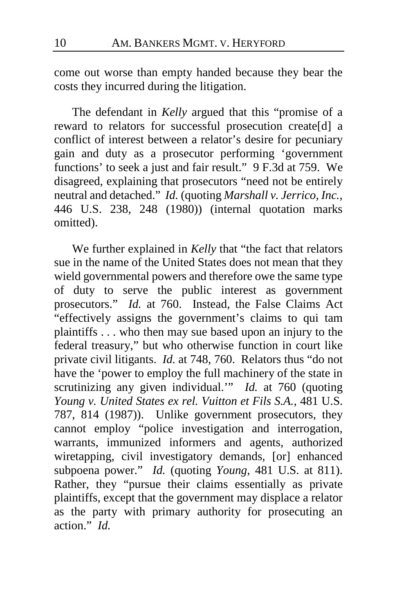come out worse than empty handed because they bear the costs they incurred during the litigation.

The defendant in *Kelly* argued that this "promise of a reward to relators for successful prosecution create[d] a conflict of interest between a relator's desire for pecuniary gain and duty as a prosecutor performing 'government functions' to seek a just and fair result." 9 F.3d at 759. We disagreed, explaining that prosecutors "need not be entirely neutral and detached." *Id.* (quoting *Marshall v. Jerrico, Inc.*, 446 U.S. 238, 248 (1980)) (internal quotation marks omitted).

We further explained in *Kelly* that "the fact that relators sue in the name of the United States does not mean that they wield governmental powers and therefore owe the same type of duty to serve the public interest as government prosecutors." *Id.* at 760. Instead, the False Claims Act "effectively assigns the government's claims to qui tam plaintiffs . . . who then may sue based upon an injury to the federal treasury," but who otherwise function in court like private civil litigants. *Id.* at 748, 760. Relators thus "do not have the 'power to employ the full machinery of the state in scrutinizing any given individual.'" *Id.* at 760 (quoting *Young v. United States ex rel. Vuitton et Fils S.A.*, 481 U.S. 787, 814 (1987)). Unlike government prosecutors, they cannot employ "police investigation and interrogation, warrants, immunized informers and agents, authorized wiretapping, civil investigatory demands, [or] enhanced subpoena power." *Id.* (quoting *Young*, 481 U.S. at 811). Rather, they "pursue their claims essentially as private plaintiffs, except that the government may displace a relator as the party with primary authority for prosecuting an action." *Id.*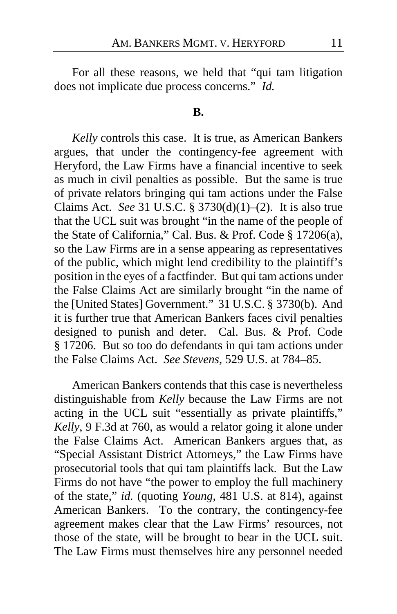For all these reasons, we held that "qui tam litigation does not implicate due process concerns." *Id.*

#### **B.**

*Kelly* controls this case. It is true, as American Bankers argues, that under the contingency-fee agreement with Heryford, the Law Firms have a financial incentive to seek as much in civil penalties as possible. But the same is true of private relators bringing qui tam actions under the False Claims Act. *See* 31 U.S.C. § 3730(d)(1)–(2). It is also true that the UCL suit was brought "in the name of the people of the State of California," Cal. Bus. & Prof. Code § 17206(a), so the Law Firms are in a sense appearing as representatives of the public, which might lend credibility to the plaintiff's position in the eyes of a factfinder. But qui tam actions under the False Claims Act are similarly brought "in the name of the [United States] Government." 31 U.S.C. § 3730(b). And it is further true that American Bankers faces civil penalties designed to punish and deter. Cal. Bus. & Prof. Code § 17206. But so too do defendants in qui tam actions under the False Claims Act. *See Stevens*, 529 U.S. at 784–85.

American Bankers contends that this case is nevertheless distinguishable from *Kelly* because the Law Firms are not acting in the UCL suit "essentially as private plaintiffs," *Kelly*, 9 F.3d at 760, as would a relator going it alone under the False Claims Act. American Bankers argues that, as "Special Assistant District Attorneys," the Law Firms have prosecutorial tools that qui tam plaintiffs lack. But the Law Firms do not have "the power to employ the full machinery of the state," *id.* (quoting *Young*, 481 U.S. at 814), against American Bankers. To the contrary, the contingency-fee agreement makes clear that the Law Firms' resources, not those of the state, will be brought to bear in the UCL suit. The Law Firms must themselves hire any personnel needed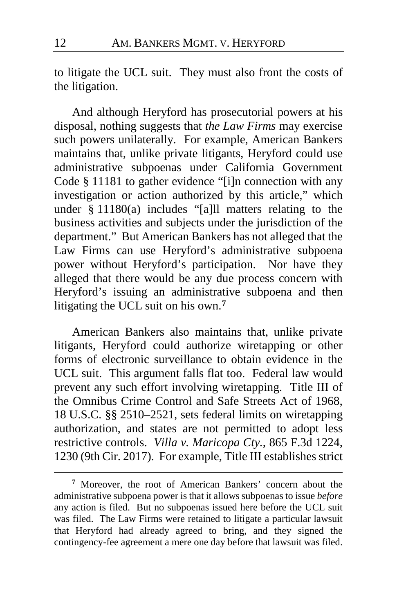to litigate the UCL suit. They must also front the costs of the litigation.

And although Heryford has prosecutorial powers at his disposal, nothing suggests that *the Law Firms* may exercise such powers unilaterally. For example, American Bankers maintains that, unlike private litigants, Heryford could use administrative subpoenas under California Government Code § 11181 to gather evidence "[i]n connection with any investigation or action authorized by this article," which under § 11180(a) includes "[a]ll matters relating to the business activities and subjects under the jurisdiction of the department." But American Bankers has not alleged that the Law Firms can use Heryford's administrative subpoena power without Heryford's participation. Nor have they alleged that there would be any due process concern with Heryford's issuing an administrative subpoena and then litigating the UCL suit on his own.**[7](#page-11-0)**

American Bankers also maintains that, unlike private litigants, Heryford could authorize wiretapping or other forms of electronic surveillance to obtain evidence in the UCL suit. This argument falls flat too. Federal law would prevent any such effort involving wiretapping. Title III of the Omnibus Crime Control and Safe Streets Act of 1968, 18 U.S.C. §§ 2510–2521, sets federal limits on wiretapping authorization, and states are not permitted to adopt less restrictive controls. *Villa v. Maricopa Cty.*, 865 F.3d 1224, 1230 (9th Cir. 2017). For example, Title III establishes strict

<span id="page-11-0"></span>**<sup>7</sup>** Moreover, the root of American Bankers' concern about the administrative subpoena power is that it allows subpoenas to issue *before* any action is filed. But no subpoenas issued here before the UCL suit was filed. The Law Firms were retained to litigate a particular lawsuit that Heryford had already agreed to bring, and they signed the contingency-fee agreement a mere one day before that lawsuit was filed.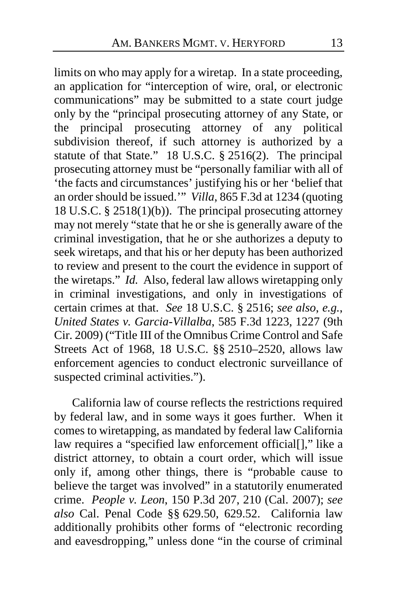limits on who may apply for a wiretap. In a state proceeding, an application for "interception of wire, oral, or electronic communications" may be submitted to a state court judge only by the "principal prosecuting attorney of any State, or the principal prosecuting attorney of any political subdivision thereof, if such attorney is authorized by a statute of that State." 18 U.S.C. § 2516(2). The principal prosecuting attorney must be "personally familiar with all of 'the facts and circumstances' justifying his or her 'belief that an order should be issued.'" *Villa*, 865 F.3d at 1234 (quoting 18 U.S.C. § 2518(1)(b)). The principal prosecuting attorney may not merely "state that he or she is generally aware of the criminal investigation, that he or she authorizes a deputy to seek wiretaps, and that his or her deputy has been authorized to review and present to the court the evidence in support of the wiretaps." *Id.* Also, federal law allows wiretapping only in criminal investigations, and only in investigations of certain crimes at that. *See* 18 U.S.C. § 2516; *see also*, *e.g.*, *United States v. Garcia-Villalba*, 585 F.3d 1223, 1227 (9th Cir. 2009) ("Title III of the Omnibus Crime Control and Safe Streets Act of 1968, 18 U.S.C. §§ 2510–2520, allows law enforcement agencies to conduct electronic surveillance of suspected criminal activities.").

California law of course reflects the restrictions required by federal law, and in some ways it goes further. When it comes to wiretapping, as mandated by federal law California law requires a "specified law enforcement official[]," like a district attorney, to obtain a court order, which will issue only if, among other things, there is "probable cause to believe the target was involved" in a statutorily enumerated crime. *People v. Leon*, 150 P.3d 207, 210 (Cal. 2007); *see also* Cal. Penal Code §§ 629.50, 629.52. California law additionally prohibits other forms of "electronic recording and eavesdropping," unless done "in the course of criminal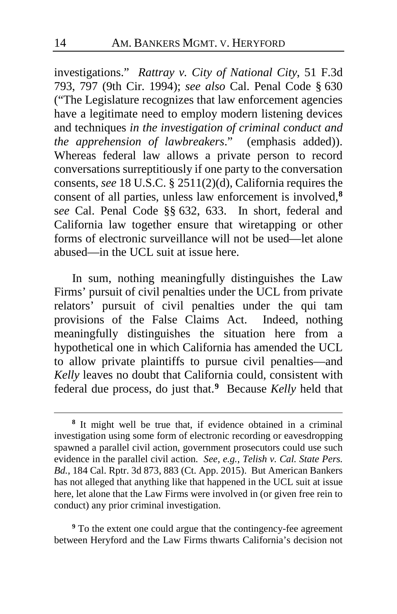investigations." *Rattray v. City of National City*, 51 F.3d 793, 797 (9th Cir. 1994); *see also* Cal. Penal Code § 630 ("The Legislature recognizes that law enforcement agencies have a legitimate need to employ modern listening devices and techniques *in the investigation of criminal conduct and the apprehension of lawbreakers*." (emphasis added)). Whereas federal law allows a private person to record conversations surreptitiously if one party to the conversation consents, *see* 18 U.S.C. § 2511(2)(d), California requires the consent of all parties, unless law enforcement is involved,**[8](#page-13-0)** s*ee* Cal. Penal Code §§ 632, 633. In short, federal and California law together ensure that wiretapping or other forms of electronic surveillance will not be used—let alone abused—in the UCL suit at issue here.

In sum, nothing meaningfully distinguishes the Law Firms' pursuit of civil penalties under the UCL from private relators' pursuit of civil penalties under the qui tam provisions of the False Claims Act. Indeed, nothing meaningfully distinguishes the situation here from a hypothetical one in which California has amended the UCL to allow private plaintiffs to pursue civil penalties—and *Kelly* leaves no doubt that California could, consistent with federal due process, do just that.**[9](#page-13-1)** Because *Kelly* held that

<span id="page-13-1"></span>**<sup>9</sup>** To the extent one could argue that the contingency-fee agreement between Heryford and the Law Firms thwarts California's decision not

<span id="page-13-0"></span>**<sup>8</sup>** It might well be true that, if evidence obtained in a criminal investigation using some form of electronic recording or eavesdropping spawned a parallel civil action, government prosecutors could use such evidence in the parallel civil action. *See, e.g.*, *Telish v. Cal. State Pers. Bd.*, 184 Cal. Rptr. 3d 873, 883 (Ct. App. 2015). But American Bankers has not alleged that anything like that happened in the UCL suit at issue here, let alone that the Law Firms were involved in (or given free rein to conduct) any prior criminal investigation.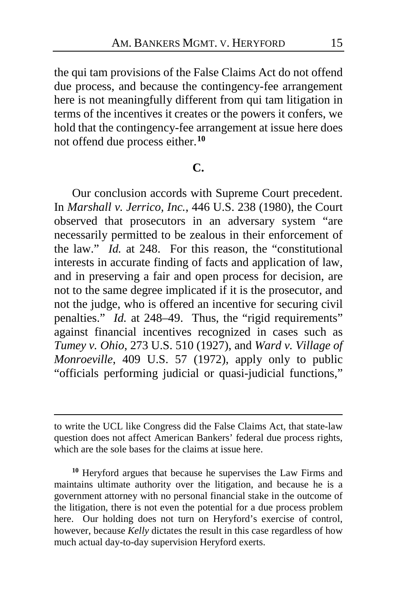the qui tam provisions of the False Claims Act do not offend due process, and because the contingency-fee arrangement here is not meaningfully different from qui tam litigation in terms of the incentives it creates or the powers it confers, we hold that the contingency-fee arrangement at issue here does not offend due process either.**[10](#page-14-0)**

#### **C.**

Our conclusion accords with Supreme Court precedent. In *Marshall v. Jerrico, Inc.*, 446 U.S. 238 (1980), the Court observed that prosecutors in an adversary system "are necessarily permitted to be zealous in their enforcement of the law." *Id.* at 248. For this reason, the "constitutional interests in accurate finding of facts and application of law, and in preserving a fair and open process for decision, are not to the same degree implicated if it is the prosecutor, and not the judge, who is offered an incentive for securing civil penalties." *Id.* at 248–49. Thus, the "rigid requirements" against financial incentives recognized in cases such as *Tumey v. Ohio*, 273 U.S. 510 (1927), and *Ward v. Village of Monroeville*, 409 U.S. 57 (1972), apply only to public "officials performing judicial or quasi-judicial functions,"

to write the UCL like Congress did the False Claims Act, that state-law question does not affect American Bankers' federal due process rights, which are the sole bases for the claims at issue here.

<span id="page-14-0"></span>**<sup>10</sup>** Heryford argues that because he supervises the Law Firms and maintains ultimate authority over the litigation, and because he is a government attorney with no personal financial stake in the outcome of the litigation, there is not even the potential for a due process problem here. Our holding does not turn on Heryford's exercise of control, however, because *Kelly* dictates the result in this case regardless of how much actual day-to-day supervision Heryford exerts.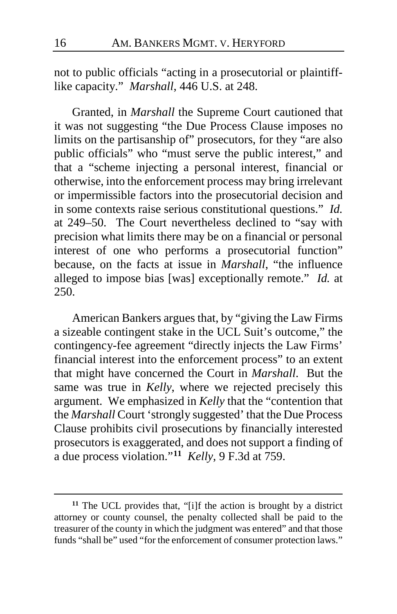not to public officials "acting in a prosecutorial or plaintifflike capacity." *Marshall*, 446 U.S. at 248.

Granted, in *Marshall* the Supreme Court cautioned that it was not suggesting "the Due Process Clause imposes no limits on the partisanship of" prosecutors, for they "are also public officials" who "must serve the public interest," and that a "scheme injecting a personal interest, financial or otherwise, into the enforcement process may bring irrelevant or impermissible factors into the prosecutorial decision and in some contexts raise serious constitutional questions." *Id.* at 249–50. The Court nevertheless declined to "say with precision what limits there may be on a financial or personal interest of one who performs a prosecutorial function" because, on the facts at issue in *Marshall*, "the influence alleged to impose bias [was] exceptionally remote." *Id.* at 250.

American Bankers argues that, by "giving the Law Firms a sizeable contingent stake in the UCL Suit's outcome," the contingency-fee agreement "directly injects the Law Firms' financial interest into the enforcement process" to an extent that might have concerned the Court in *Marshall*. But the same was true in *Kelly*, where we rejected precisely this argument. We emphasized in *Kelly* that the "contention that the *Marshall* Court 'strongly suggested' that the Due Process Clause prohibits civil prosecutions by financially interested prosecutors is exaggerated, and does not support a finding of a due process violation."**[11](#page-15-0)** *Kelly*, 9 F.3d at 759.

<span id="page-15-0"></span>**<sup>11</sup>** The UCL provides that, "[i]f the action is brought by a district attorney or county counsel, the penalty collected shall be paid to the treasurer of the county in which the judgment was entered" and that those funds "shall be" used "for the enforcement of consumer protection laws."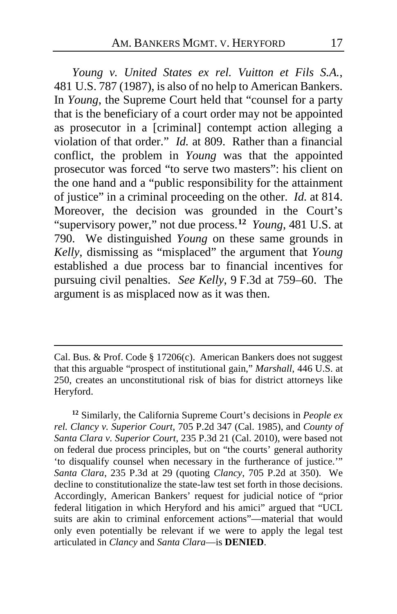*Young v. United States ex rel. Vuitton et Fils S.A.*, 481 U.S. 787 (1987), is also of no help to American Bankers. In *Young*, the Supreme Court held that "counsel for a party that is the beneficiary of a court order may not be appointed as prosecutor in a [criminal] contempt action alleging a violation of that order." *Id.* at 809. Rather than a financial conflict, the problem in *Young* was that the appointed prosecutor was forced "to serve two masters": his client on the one hand and a "public responsibility for the attainment of justice" in a criminal proceeding on the other. *Id.* at 814. Moreover, the decision was grounded in the Court's "supervisory power," not due process.**[12](#page-16-0)** *Young*, 481 U.S. at 790. We distinguished *Young* on these same grounds in *Kelly*, dismissing as "misplaced" the argument that *Young* established a due process bar to financial incentives for pursuing civil penalties. *See Kelly*, 9 F.3d at 759–60. The argument is as misplaced now as it was then.

Cal. Bus. & Prof. Code § 17206(c). American Bankers does not suggest that this arguable "prospect of institutional gain," *Marshall*, 446 U.S. at 250, creates an unconstitutional risk of bias for district attorneys like Heryford.

 $\overline{a}$ 

<span id="page-16-0"></span>**<sup>12</sup>** Similarly, the California Supreme Court's decisions in *People ex rel. Clancy v. Superior Court*, 705 P.2d 347 (Cal. 1985), and *County of Santa Clara v. Superior Court*, 235 P.3d 21 (Cal. 2010), were based not on federal due process principles, but on "the courts' general authority 'to disqualify counsel when necessary in the furtherance of justice.'" *Santa Clara*, 235 P.3d at 29 (quoting *Clancy*, 705 P.2d at 350). We decline to constitutionalize the state-law test set forth in those decisions. Accordingly, American Bankers' request for judicial notice of "prior federal litigation in which Heryford and his amici" argued that "UCL suits are akin to criminal enforcement actions"—material that would only even potentially be relevant if we were to apply the legal test articulated in *Clancy* and *Santa Clara*—is **DENIED**.